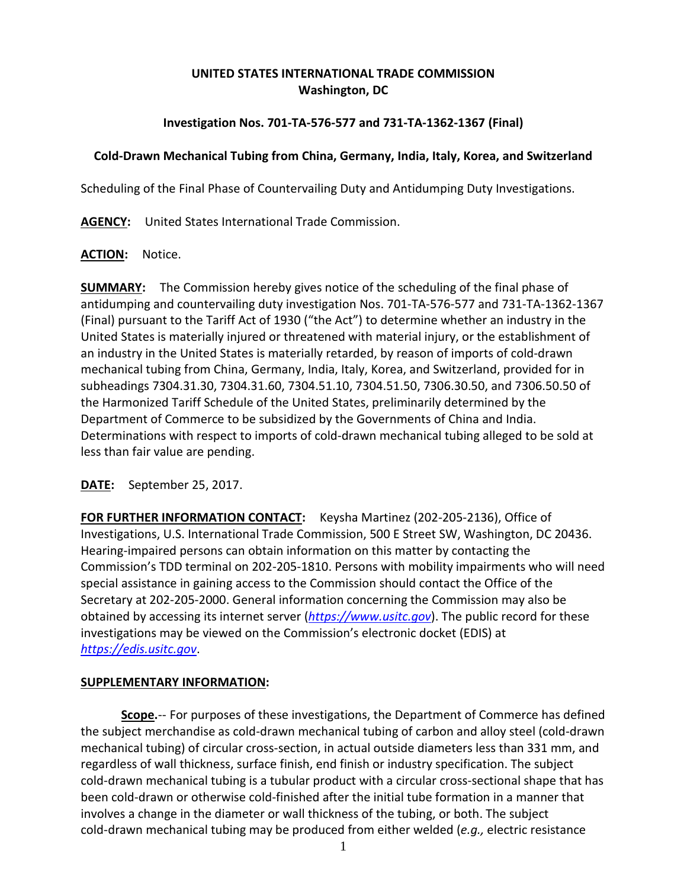# **UNITED STATES INTERNATIONAL TRADE COMMISSION Washington, DC**

### **Investigation Nos. 701-TA-576-577 and 731-TA-1362-1367 (Final)**

### **Cold-Drawn Mechanical Tubing from China, Germany, India, Italy, Korea, and Switzerland**

Scheduling of the Final Phase of Countervailing Duty and Antidumping Duty Investigations.

**AGENCY:** United States International Trade Commission.

#### **ACTION:** Notice.

**SUMMARY:** The Commission hereby gives notice of the scheduling of the final phase of antidumping and countervailing duty investigation Nos. 701-TA-576-577 and 731-TA-1362-1367 (Final) pursuant to the Tariff Act of 1930 ("the Act") to determine whether an industry in the United States is materially injured or threatened with material injury, or the establishment of an industry in the United States is materially retarded, by reason of imports of cold-drawn mechanical tubing from China, Germany, India, Italy, Korea, and Switzerland, provided for in subheadings 7304.31.30, 7304.31.60, 7304.51.10, 7304.51.50, 7306.30.50, and 7306.50.50 of the Harmonized Tariff Schedule of the United States, preliminarily determined by the Department of Commerce to be subsidized by the Governments of China and India. Determinations with respect to imports of cold-drawn mechanical tubing alleged to be sold at less than fair value are pending.

# **DATE:** September 25, 2017.

FOR FURTHER INFORMATION CONTACT: Keysha Martinez (202-205-2136), Office of Investigations, U.S. International Trade Commission, 500 E Street SW, Washington, DC 20436. Hearing-impaired persons can obtain information on this matter by contacting the Commission's TDD terminal on 202-205-1810. Persons with mobility impairments who will need special assistance in gaining access to the Commission should contact the Office of the Secretary at 202-205-2000. General information concerning the Commission may also be obtained by accessing its internet server (*[https://www.usitc.gov](https://www.usitc.gov/)*). The public record for these investigations may be viewed on the Commission's electronic docket (EDIS) at *[https://edis.usitc.gov](https://edis.usitc.gov/)*.

#### **SUPPLEMENTARY INFORMATION:**

**Scope.**-- For purposes of these investigations, the Department of Commerce has defined the subject merchandise as cold-drawn mechanical tubing of carbon and alloy steel (cold-drawn mechanical tubing) of circular cross-section, in actual outside diameters less than 331 mm, and regardless of wall thickness, surface finish, end finish or industry specification. The subject cold-drawn mechanical tubing is a tubular product with a circular cross-sectional shape that has been cold-drawn or otherwise cold-finished after the initial tube formation in a manner that involves a change in the diameter or wall thickness of the tubing, or both. The subject cold-drawn mechanical tubing may be produced from either welded (*e.g.,* electric resistance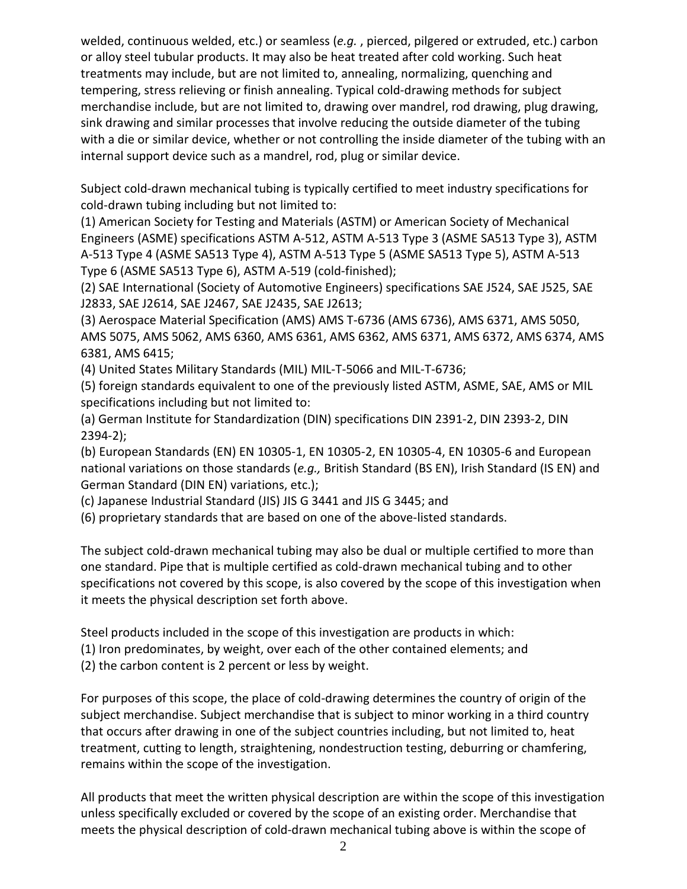welded, continuous welded, etc.) or seamless (*e.g.* , pierced, pilgered or extruded, etc.) carbon or alloy steel tubular products. It may also be heat treated after cold working. Such heat treatments may include, but are not limited to, annealing, normalizing, quenching and tempering, stress relieving or finish annealing. Typical cold-drawing methods for subject merchandise include, but are not limited to, drawing over mandrel, rod drawing, plug drawing, sink drawing and similar processes that involve reducing the outside diameter of the tubing with a die or similar device, whether or not controlling the inside diameter of the tubing with an internal support device such as a mandrel, rod, plug or similar device.

Subject cold-drawn mechanical tubing is typically certified to meet industry specifications for cold-drawn tubing including but not limited to:

(1) American Society for Testing and Materials (ASTM) or American Society of Mechanical Engineers (ASME) specifications ASTM A-512, ASTM A-513 Type 3 (ASME SA513 Type 3), ASTM A-513 Type 4 (ASME SA513 Type 4), ASTM A-513 Type 5 (ASME SA513 Type 5), ASTM A-513 Type 6 (ASME SA513 Type 6), ASTM A-519 (cold-finished);

(2) SAE International (Society of Automotive Engineers) specifications SAE J524, SAE J525, SAE J2833, SAE J2614, SAE J2467, SAE J2435, SAE J2613;

(3) Aerospace Material Specification (AMS) AMS T-6736 (AMS 6736), AMS 6371, AMS 5050, AMS 5075, AMS 5062, AMS 6360, AMS 6361, AMS 6362, AMS 6371, AMS 6372, AMS 6374, AMS 6381, AMS 6415;

(4) United States Military Standards (MIL) MIL-T-5066 and MIL-T-6736;

(5) foreign standards equivalent to one of the previously listed ASTM, ASME, SAE, AMS or MIL specifications including but not limited to:

(a) German Institute for Standardization (DIN) specifications DIN 2391-2, DIN 2393-2, DIN 2394-2);

(b) European Standards (EN) EN 10305-1, EN 10305-2, EN 10305-4, EN 10305-6 and European national variations on those standards (*e.g.,* British Standard (BS EN), Irish Standard (IS EN) and German Standard (DIN EN) variations, etc.);

(c) Japanese Industrial Standard (JIS) JIS G 3441 and JIS G 3445; and

(6) proprietary standards that are based on one of the above-listed standards.

The subject cold-drawn mechanical tubing may also be dual or multiple certified to more than one standard. Pipe that is multiple certified as cold-drawn mechanical tubing and to other specifications not covered by this scope, is also covered by the scope of this investigation when it meets the physical description set forth above.

Steel products included in the scope of this investigation are products in which:

(1) Iron predominates, by weight, over each of the other contained elements; and

(2) the carbon content is 2 percent or less by weight.

For purposes of this scope, the place of cold-drawing determines the country of origin of the subject merchandise. Subject merchandise that is subject to minor working in a third country that occurs after drawing in one of the subject countries including, but not limited to, heat treatment, cutting to length, straightening, nondestruction testing, deburring or chamfering, remains within the scope of the investigation.

All products that meet the written physical description are within the scope of this investigation unless specifically excluded or covered by the scope of an existing order. Merchandise that meets the physical description of cold-drawn mechanical tubing above is within the scope of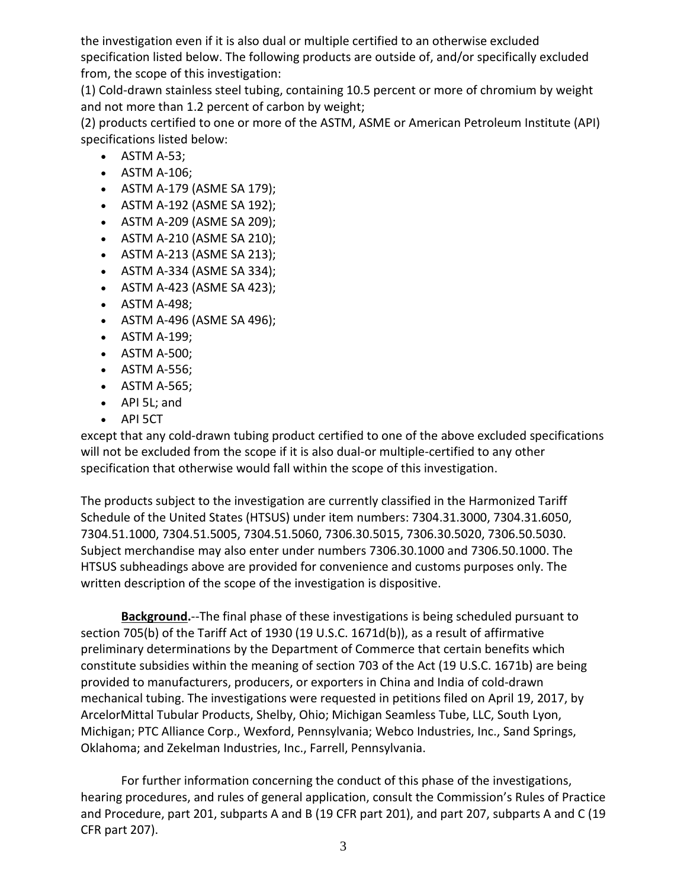the investigation even if it is also dual or multiple certified to an otherwise excluded specification listed below. The following products are outside of, and/or specifically excluded from, the scope of this investigation:

(1) Cold-drawn stainless steel tubing, containing 10.5 percent or more of chromium by weight and not more than 1.2 percent of carbon by weight;

(2) products certified to one or more of the ASTM, ASME or American Petroleum Institute (API) specifications listed below:

- ASTM A-53;
- ASTM A-106;
- ASTM A-179 (ASME SA 179);
- ASTM A-192 (ASME SA 192);
- ASTM A-209 (ASME SA 209);
- ASTM A-210 (ASME SA 210);
- ASTM A-213 (ASME SA 213);
- ASTM A-334 (ASME SA 334);
- ASTM A-423 (ASME SA 423);
- ASTM A-498;
- ASTM A-496 (ASME SA 496);
- ASTM A-199;
- ASTM A-500;
- ASTM A-556;
- ASTM A-565;
- API 5L; and
- API 5CT

except that any cold-drawn tubing product certified to one of the above excluded specifications will not be excluded from the scope if it is also dual-or multiple-certified to any other specification that otherwise would fall within the scope of this investigation.

The products subject to the investigation are currently classified in the Harmonized Tariff Schedule of the United States (HTSUS) under item numbers: 7304.31.3000, 7304.31.6050, 7304.51.1000, 7304.51.5005, 7304.51.5060, 7306.30.5015, 7306.30.5020, 7306.50.5030. Subject merchandise may also enter under numbers 7306.30.1000 and 7306.50.1000. The HTSUS subheadings above are provided for convenience and customs purposes only. The written description of the scope of the investigation is dispositive.

**Background.**--The final phase of these investigations is being scheduled pursuant to section 705(b) of the Tariff Act of 1930 (19 U.S.C. 1671d(b)), as a result of affirmative preliminary determinations by the Department of Commerce that certain benefits which constitute subsidies within the meaning of section 703 of the Act (19 U.S.C. 1671b) are being provided to manufacturers, producers, or exporters in China and India of cold-drawn mechanical tubing. The investigations were requested in petitions filed on April 19, 2017, by ArcelorMittal Tubular Products, Shelby, Ohio; Michigan Seamless Tube, LLC, South Lyon, Michigan; PTC Alliance Corp., Wexford, Pennsylvania; Webco Industries, Inc., Sand Springs, Oklahoma; and Zekelman Industries, Inc., Farrell, Pennsylvania.

For further information concerning the conduct of this phase of the investigations, hearing procedures, and rules of general application, consult the Commission's Rules of Practice and Procedure, part 201, subparts A and B (19 CFR part 201), and part 207, subparts A and C (19 CFR part 207).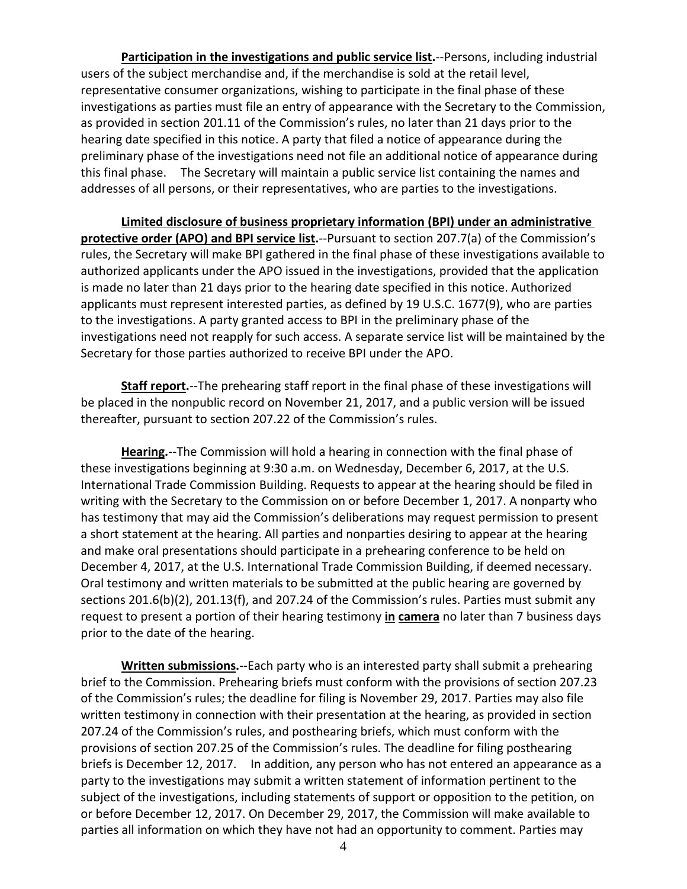**Participation in the investigations and public service list.**--Persons, including industrial users of the subject merchandise and, if the merchandise is sold at the retail level, representative consumer organizations, wishing to participate in the final phase of these investigations as parties must file an entry of appearance with the Secretary to the Commission, as provided in section 201.11 of the Commission's rules, no later than 21 days prior to the hearing date specified in this notice. A party that filed a notice of appearance during the preliminary phase of the investigations need not file an additional notice of appearance during this final phase. The Secretary will maintain a public service list containing the names and addresses of all persons, or their representatives, who are parties to the investigations.

**Limited disclosure of business proprietary information (BPI) under an administrative protective order (APO) and BPI service list.**--Pursuant to section 207.7(a) of the Commission's rules, the Secretary will make BPI gathered in the final phase of these investigations available to authorized applicants under the APO issued in the investigations, provided that the application is made no later than 21 days prior to the hearing date specified in this notice. Authorized applicants must represent interested parties, as defined by 19 U.S.C. 1677(9), who are parties to the investigations. A party granted access to BPI in the preliminary phase of the investigations need not reapply for such access. A separate service list will be maintained by the Secretary for those parties authorized to receive BPI under the APO.

**Staff report.**--The prehearing staff report in the final phase of these investigations will be placed in the nonpublic record on November 21, 2017, and a public version will be issued thereafter, pursuant to section 207.22 of the Commission's rules.

**Hearing.**--The Commission will hold a hearing in connection with the final phase of these investigations beginning at 9:30 a.m. on Wednesday, December 6, 2017, at the U.S. International Trade Commission Building. Requests to appear at the hearing should be filed in writing with the Secretary to the Commission on or before December 1, 2017. A nonparty who has testimony that may aid the Commission's deliberations may request permission to present a short statement at the hearing. All parties and nonparties desiring to appear at the hearing and make oral presentations should participate in a prehearing conference to be held on December 4, 2017, at the U.S. International Trade Commission Building, if deemed necessary. Oral testimony and written materials to be submitted at the public hearing are governed by sections 201.6(b)(2), 201.13(f), and 207.24 of the Commission's rules. Parties must submit any request to present a portion of their hearing testimony **in camera** no later than 7 business days prior to the date of the hearing.

**Written submissions.**--Each party who is an interested party shall submit a prehearing brief to the Commission. Prehearing briefs must conform with the provisions of section 207.23 of the Commission's rules; the deadline for filing is November 29, 2017. Parties may also file written testimony in connection with their presentation at the hearing, as provided in section 207.24 of the Commission's rules, and posthearing briefs, which must conform with the provisions of section 207.25 of the Commission's rules. The deadline for filing posthearing briefs is December 12, 2017. In addition, any person who has not entered an appearance as a party to the investigations may submit a written statement of information pertinent to the subject of the investigations, including statements of support or opposition to the petition, on or before December 12, 2017. On December 29, 2017, the Commission will make available to parties all information on which they have not had an opportunity to comment. Parties may